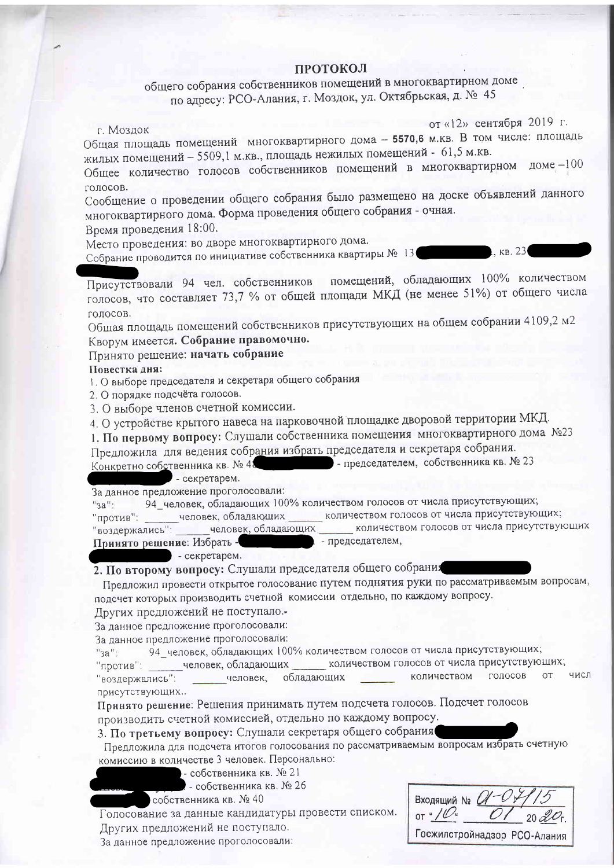## ПРОТОКОЛ

общего собрания собственников помещений в многоквартирном доме по адресу: РСО-Алания, г. Моздок, ул. Октябрьская, д. № 45

г. Моздок

от «12» сентября 2019 г.

Общая площадь помещений многоквартирного дома - 5570,6 м.кв. В том числе: площадь жилых помещений - 5509,1 м.кв., площадь нежилых помещений - 61,5 м.кв.

Общее количество голосов собственников помещений в многоквартирном доме -100 голосов.

Сообщение о проведении общего собрания было размещено на доске объявлений данного многоквартирного дома. Форма проведения общего собрания - очная.

Время проведения 18:00.

Место проведения: во дворе многоквартирного дома.

Собрание проводится по инициативе собственника квартиры № 13

KB. 23

помещений, обладающих 100% количеством Присутствовали 94 чел. собственников голосов, что составляет 73,7 % от общей площади МКД (не менее 51%) от общего числа **COLOCOB.** 

Общая площадь помещений собственников присутствующих на общем собрании 4109,2 м2 Кворум имеется. Собрание правомочно.

## Принято решение: начать собрание

## Повестка дня:

1. О выборе председателя и секретаря общего собрания

2. О порядке подсчёта голосов.

3. О выборе членов счетной комиссии.

4. О устройстве крытого навеса на парковочной площадке дворовой территории МКД.

1. По первому вопросу: Слушали собственника помещения многоквартирного дома №23

Предложила для ведения собрания избрать председателя и секретаря собрания. - председателем, собственника кв. № 23 Конкретно собственника кв. № 48

- секретарем.

За данное предложение проголосовали:

94\_человек, обладающих 100% количеством голосов от числа присутствующих;  $"aa"$ :

- человек, обладающих \_ количеством голосов от числа присутствующих; "против":

количеством голосов от числа присутствующих человек, обладающих "воздержались": Принято решение: Избрать председателем,

- секретарем.

2. По второму вопросу: Слушали председателя общего собрания

Предложил провести открытое голосование путем поднятия руки по рассматриваемым вопросам, подсчет которых производить счетной комиссии отдельно, по каждому вопросу.

Других предложений не поступало.

За данное предложение проголосовали:

За данное предложение проголосовали:

94 человек, обладающих 100% количеством голосов от числа присутствующих;  $"3a"$ :

человек, обладающих количеством голосов от числа присутствующих; "против": голосов **OT** числ количеством обладающих "воздержались": человек, присутствующих..

Принято решение: Решения принимать путем подсчета голосов. Подсчет голосов производить счетной комиссией, отдельно по каждому вопросу.

3. По третьему вопросу: Слушали секретаря общего собрания

Предложила для подсчета итогов голосования по рассматриваемым вопросам избрать счетную комиссию в количестве 3 человек. Персонально:

- собственника кв. № 21

- собственника кв. № 26

собственника кв. № 40

Голосование за данные кандидатуры провести списком.

Других предложений не поступало.

За данное предложение проголосовали:

Входящий №  $Q$ -С OT "  $/U$  "

Госжилстройнадзор РСО-Алания